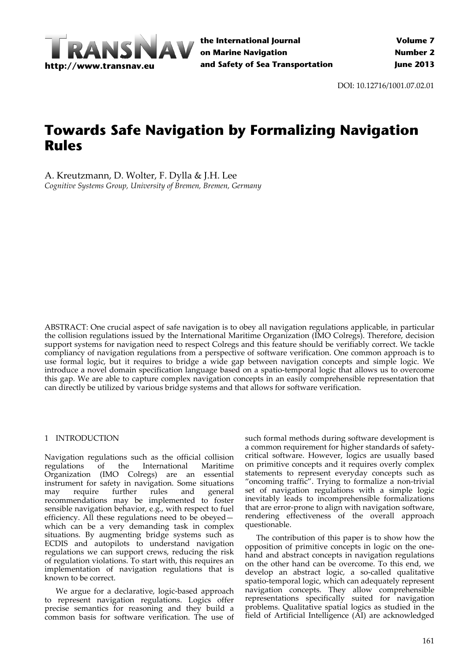

DOI: 10.12716/1001.07.02.01

# **Towards Safe Navigation by Formalizing Navigation Rules**

A. Kreutzmann, D. Wolter, F. Dylla & J.H. Lee *Cognitive Systems Group, University of Bremen, Bremen, Germany*

ABSTRACT: One crucial aspect of safe navigation is to obey all navigation regulations applicable, in particular the collision regulations issued by the International Maritime Organization (IMO Colregs). Therefore, decision support systems for navigation need to respect Colregs and this feature should be verifiably correct. We tackle compliancy of navigation regulations from a perspective of software verification. One common approach is to use formal logic, but it requires to bridge a wide gap between navigation concepts and simple logic. We introduce a novel domain specification language based on a spatio-temporal logic that allows us to overcome this gap. We are able to capture complex navigation concepts in an easily comprehensible representation that can directly be utilized by various bridge systems and that allows for software verification.

#### 1 INTRODUCTION

Navigation regulations such as the official collision regulations of the International Maritime Organization (IMO Colregs) are an essential instrument for safety in navigation. Some situations may require further rules and general recommendations may be implemented to foster sensible navigation behavior, e.g., with respect to fuel efficiency. All these regulations need to be obeyed which can be a very demanding task in complex situations. By augmenting bridge systems such as ECDIS and autopilots to understand navigation regulations we can support crews, reducing the risk of regulation violations. To start with, this requires an implementation of navigation regulations that is known to be correct.

We argue for a declarative, logic-based approach to represent navigation regulations. Logics offer precise semantics for reasoning and they build a common basis for software verification. The use of

such formal methods during software development is a common requirement for higher standards of safety‐ critical software. However, logics are usually based on primitive concepts and it requires overly complex statements to represent everyday concepts such as "oncoming traffic". Trying to formalize a non‐trivial set of navigation regulations with a simple logic inevitably leads to incomprehensible formalizations that are error‐prone to align with navigation software, rendering effectiveness of the overall approach questionable.

The contribution of this paper is to show how the opposition of primitive concepts in logic on the one‐ hand and abstract concepts in navigation regulations on the other hand can be overcome. To this end, we develop an abstract logic, a so-called qualitative spatio‐temporal logic, which can adequately represent navigation concepts. They allow comprehensible representations specifically suited for navigation problems. Qualitative spatial logics as studied in the field of Artificial Intelligence (AI) are acknowledged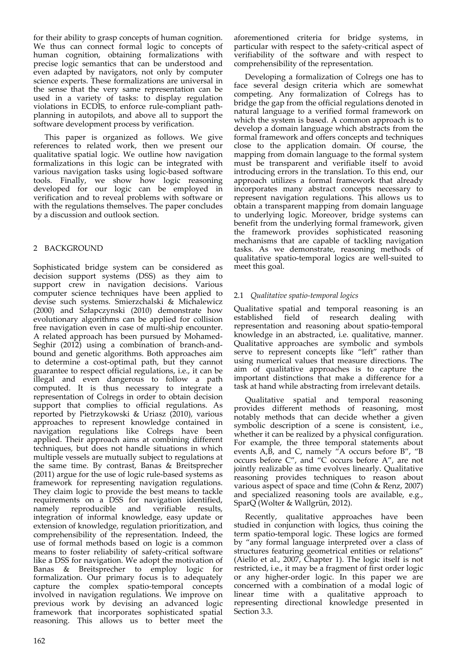for their ability to grasp concepts of human cognition. We thus can connect formal logic to concepts of human cognition, obtaining formalizations with precise logic semantics that can be understood and even adapted by navigators, not only by computer science experts. These formalizations are universal in the sense that the very same representation can be used in a variety of tasks: to display regulation violations in ECDIS, to enforce rule‐compliant path‐ planning in autopilots, and above all to support the software development process by verification.

This paper is organized as follows. We give references to related work, then we present our qualitative spatial logic. We outline how navigation formalizations in this logic can be integrated with various navigation tasks using logic‐based software tools. Finally, we show how logic reasoning developed for our logic can be employed in verification and to reveal problems with software or with the regulations themselves. The paper concludes by a discussion and outlook section.

## 2 BACKGROUND

Sophisticated bridge system can be considered as decision support systems (DSS) as they aim to support crew in navigation decisions. Various computer science techniques have been applied to devise such systems. Smierzchalski & Michalewicz (2000) and Szłapczynski (2010) demonstrate how evolutionary algorithms can be applied for collision free navigation even in case of multi‐ship encounter. A related approach has been pursued by Mohamed‐ Seghir (2012) using a combination of branch-andbound and genetic algorithms. Both approaches aim to determine a cost‐optimal path, but they cannot guarantee to respect official regulations, i.e., it can be illegal and even dangerous to follow a path computed. It is thus necessary to integrate a representation of Colregs in order to obtain decision support that complies to official regulations. As reported by Pietrzykowski & Uriasz (2010), various approaches to represent knowledge contained in navigation regulations like Colregs have been applied. Their approach aims at combining different techniques, but does not handle situations in which multiple vessels are mutually subject to regulations at the same time. By contrast, Banas & Breitsprecher (2011) argue for the use of logic rule‐based systems as framework for representing navigation regulations. They claim logic to provide the best means to tackle requirements on a DSS for navigation identified, namely reproducible and verifiable results, integration of informal knowledge, easy update or extension of knowledge, regulation prioritization, and comprehensibility of the representation. Indeed, the use of formal methods based on logic is a common means to foster reliability of safety‐critical software like a DSS for navigation. We adopt the motivation of Banas & Breitsprecher to employ logic for formalization. Our primary focus is to adequately capture the complex spatio‐temporal concepts involved in navigation regulations. We improve on previous work by devising an advanced logic framework that incorporates sophisticated spatial reasoning. This allows us to better meet the

aforementioned criteria for bridge systems, in particular with respect to the safety‐critical aspect of verifiability of the software and with respect to comprehensibility of the representation.

Developing a formalization of Colregs one has to face several design criteria which are somewhat competing. Any formalization of Colregs has to bridge the gap from the official regulations denoted in natural language to a verified formal framework on which the system is based. A common approach is to develop a domain language which abstracts from the formal framework and offers concepts and techniques close to the application domain. Of course, the mapping from domain language to the formal system must be transparent and verifiable itself to avoid introducing errors in the translation. To this end, our approach utilizes a formal framework that already incorporates many abstract concepts necessary to represent navigation regulations. This allows us to obtain a transparent mapping from domain language to underlying logic. Moreover, bridge systems can benefit from the underlying formal framework, given the framework provides sophisticated reasoning mechanisms that are capable of tackling navigation tasks. As we demonstrate, reasoning methods of qualitative spatio‐temporal logics are well‐suited to meet this goal.

## 2.1 *Qualitative spatio‐temporal logics*

Qualitative spatial and temporal reasoning is an established field of research dealing with representation and reasoning about spatio‐temporal knowledge in an abstracted, i.e. qualitative, manner. Qualitative approaches are symbolic and symbols serve to represent concepts like "left" rather than using numerical values that measure directions. The aim of qualitative approaches is to capture the important distinctions that make a difference for a task at hand while abstracting from irrelevant details.

Qualitative spatial and temporal reasoning provides different methods of reasoning, most notably methods that can decide whether a given symbolic description of a scene is consistent, i.e., whether it can be realized by a physical configuration. For example, the three temporal statements about events  $A, \overline{B}$ , and C, namely "A occurs before B", "B occurs before C", and "C occurs before A", are not jointly realizable as time evolves linearly. Qualitative reasoning provides techniques to reason about various aspect of space and time (Cohn & Renz, 2007) and specialized reasoning tools are available, e.g., SparQ (Wolter & Wallgrün, 2012).

Recently, qualitative approaches have been studied in conjunction with logics, thus coining the term spatio‐temporal logic. These logics are formed by "any formal language interpreted over a class of structures featuring geometrical entities or relations" (Aiello et al., 2007, Chapter 1). The logic itself is not restricted, i.e., it may be a fragment of first order logic or any higher‐order logic. In this paper we are concerned with a combination of a modal logic of linear time with a qualitative approach to representing directional knowledge presented in Section 3.3.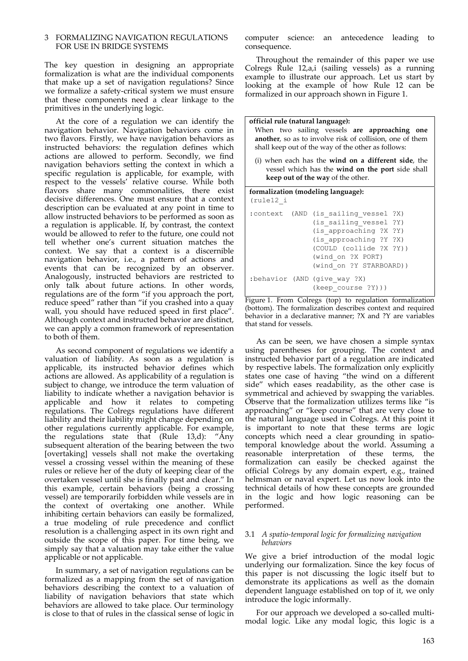#### 3 FORMALIZING NAVIGATION REGULATIONS FOR USE IN BRIDGE SYSTEMS

The key question in designing an appropriate formalization is what are the individual components that make up a set of navigation regulations? Since we formalize a safety‐critical system we must ensure that these components need a clear linkage to the primitives in the underlying logic.

At the core of a regulation we can identify the navigation behavior. Navigation behaviors come in two flavors. Firstly, we have navigation behaviors as instructed behaviors: the regulation defines which actions are allowed to perform. Secondly, we find navigation behaviors setting the context in which a specific regulation is applicable, for example, with respect to the vessels' relative course. While both flavors share many commonalities, there exist decisive differences. One must ensure that a context description can be evaluated at any point in time to allow instructed behaviors to be performed as soon as a regulation is applicable. If, by contrast, the context would be allowed to refer to the future, one could not tell whether one's current situation matches the context. We say that a context is a discernible navigation behavior, i.e., a pattern of actions and events that can be recognized by an observer. Analogously, instructed behaviors are restricted to only talk about future actions. In other words, regulations are of the form "if you approach the port, reduce speed" rather than "if you crashed into a quay wall, you should have reduced speed in first place". Although context and instructed behavior are distinct, we can apply a common framework of representation to both of them.

As second component of regulations we identify a valuation of liability. As soon as a regulation is applicable, its instructed behavior defines which actions are allowed. As applicability of a regulation is subject to change, we introduce the term valuation of liability to indicate whether a navigation behavior is applicable and how it relates to competing regulations. The Colregs regulations have different liability and their liability might change depending on other regulations currently applicable. For example, the regulations state that (Rule 13,d): "Any subsequent alteration of the bearing between the two [overtaking] vessels shall not make the overtaking vessel a crossing vessel within the meaning of these rules or relieve her of the duty of keeping clear of the overtaken vessel until she is finally past and clear." In this example, certain behaviors (being a crossing vessel) are temporarily forbidden while vessels are in the context of overtaking one another. While inhibiting certain behaviors can easily be formalized, a true modeling of rule precedence and conflict resolution is a challenging aspect in its own right and outside the scope of this paper. For time being, we simply say that a valuation may take either the value applicable or not applicable.

In summary, a set of navigation regulations can be formalized as a mapping from the set of navigation behaviors describing the context to a valuation of liability of navigation behaviors that state which behaviors are allowed to take place. Our terminology is close to that of rules in the classical sense of logic in

computer science: an antecedence leading to consequence.

Throughout the remainder of this paper we use Colregs Rule 12,a,i (sailing vessels) as a running example to illustrate our approach. Let us start by looking at the example of how Rule 12 can be formalized in our approach shown in Figure 1.

**official rule (natural language):** When two sailing vessels **are approaching one another**, so as to involve risk of collision, one of them shall keep out of the way of the other as follows: (i) when each has the **wind on a different side**, the vessel which has the **wind on the port** side shall **keep out of the way** of the other.

#### **formalization (modeling language):**  $(rn)$ <sup>12</sup>

|  | : context (AND (is sailing vessel ?X)              |
|--|----------------------------------------------------|
|  | (is sailing vessel ?Y)                             |
|  | (is approaching ?X ?Y)                             |
|  | (is approaching ?Y ?X)                             |
|  | (COULD (collide ?X ?Y))                            |
|  | (wind on ?X PORT)                                  |
|  | (wind on ?Y STARBOARD))                            |
|  | :behavior (AND (give way ?X)<br>(keep course ?Y))) |

Figure 1. From Colregs (top) to regulation formalization (bottom). The formalization describes context and required behavior in a declarative manner; ?X and ?Y are variables that stand for vessels.

As can be seen, we have chosen a simple syntax using parentheses for grouping. The context and instructed behavior part of a regulation are indicated by respective labels. The formalization only explicitly states one case of having "the wind on a different side" which eases readability, as the other case is symmetrical and achieved by swapping the variables. Observe that the formalization utilizes terms like "is approaching" or "keep course" that are very close to the natural language used in Colregs. At this point it is important to note that these terms are logic concepts which need a clear grounding in spatio‐ temporal knowledge about the world. Assuming a reasonable interpretation of these terms, the formalization can easily be checked against the official Colregs by any domain expert, e.g., trained helmsman or naval expert. Let us now look into the technical details of how these concepts are grounded in the logic and how logic reasoning can be performed.

#### 3.1 *A spatio‐temporal logic for formalizing navigation behaviors*

We give a brief introduction of the modal logic underlying our formalization. Since the key focus of this paper is not discussing the logic itself but to demonstrate its applications as well as the domain dependent language established on top of it, we only introduce the logic informally.

For our approach we developed a so-called multimodal logic. Like any modal logic, this logic is a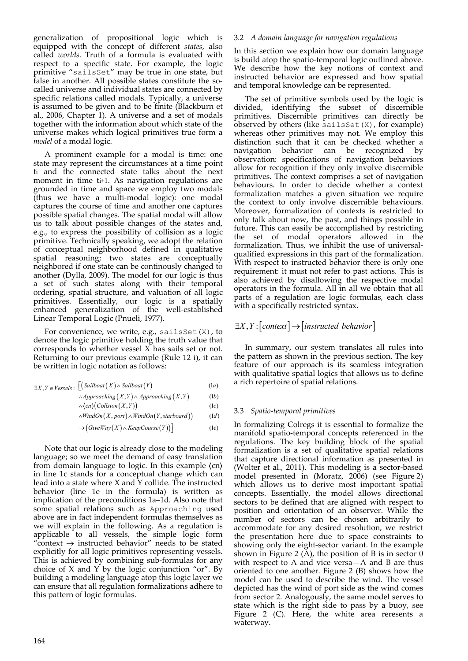generalization of propositional logic which is equipped with the concept of different *states*, also called *worlds*. Truth of a formula is evaluated with respect to a specific state. For example, the logic primitive "sailsSet" may be true in one state, but false in another. All possible states constitute the socalled universe and individual states are connected by specific relations called modals. Typically, a universe is assumed to be given and to be finite (Blackburn et al., 2006, Chapter 1). A universe and a set of modals together with the information about which state of the universe makes which logical primitives true form a *model* of a modal logic.

A prominent example for a modal is time: one state may represent the circumstances at a time point ti and the connected state talks about the next moment in time ti+1. As navigation regulations are grounded in time and space we employ two modals (thus we have a multi‐modal logic): one modal captures the course of time and another one captures possible spatial changes. The spatial modal will allow us to talk about possible changes of the states and, e.g., to express the possibility of collision as a logic primitive. Technically speaking, we adopt the relation of conceptual neighborhood defined in qualitative spatial reasoning; two states are conceptually neighbored if one state can be continously changed to another (Dylla, 2009). The model for our logic is thus a set of such states along with their temporal ordering, spatial structure, and valuation of all logic primitives. Essentially, our logic is a spatially enhanced generalization of the well-established Linear Temporal Logic (Pnueli, 1977).

For convenience, we write, e.g., sailsSet $(X)$ , to denote the logic primitive holding the truth value that corresponds to whether vessel X has sails set or not. Returning to our previous example (Rule 12 i), it can be written in logic notation as follows:

$$
\exists X, Y \in V \, \text{essels} : \, \bigg[ \big( \text{Sailboat}(X) \land \text{Sailboat}(Y) \big) \tag{1a}
$$

$$
\land Approxating(X, Y) \land Approxating(X, Y) \tag{1b}
$$

$$
\land \langle cn \rangle \big( \text{Collision}(X, Y) \big) \tag{1c}
$$

 $\wedge$ *WindOn* $(X, port) \wedge$ *WindOn* $(Y, startboard)$  (1*d*)

 $\rightarrow$  (*GiveWay* (*X*)  $\land$  *KeepCourse* (*Y*)) (le  $(1e)$ 

Note that our logic is already close to the modeling language; so we meet the demand of easy translation from domain language to logic. In this example  $\langle cn \rangle$ in line 1c stands for a conceptual change which can lead into a state where  $X$  and  $\bar{Y}$  collide. The instructed behavior (line 1e in the formula) is written as implication of the preconditions 1a–1d. Also note that some spatial relations such as Approaching used above are in fact independent formulas themselves as we will explain in the following. As a regulation is applicable to all vessels, the simple logic form "context  $\rightarrow$  instructed behavior" needs to be stated explicitly for all logic primitives representing vessels. This is achieved by combining sub‐formulas for any choice of X and Y by the logic conjunction "or". By building a modeling language atop this logic layer we can ensure that all regulation formalizations adhere to this pattern of logic formulas.

#### 3.2 *A domain language for navigation regulations*

In this section we explain how our domain language is build atop the spatio-temporal logic outlined above. We describe how the key notions of context and instructed behavior are expressed and how spatial and temporal knowledge can be represented.

The set of primitive symbols used by the logic is divided, identifying the subset of discernible primitives. Discernible primitives can directly be observed by others (like sails $Set(X)$ , for example) whereas other primitives may not. We employ this distinction such that it can be checked whether a navigation behavior can be recognized by observation: specifications of navigation behaviors allow for recognition if they only involve discernible primitives. The context comprises a set of navigation behaviours. In order to decide whether a context formalization matches a given situation we require the context to only involve discernible behaviours. Moreover, formalization of contexts is restricted to only talk about now, the past, and things possible in future. This can easily be accomplished by restricting the set of modal operators allowed in the formalization. Thus, we inhibit the use of universalqualified expressions in this part of the formalization. With respect to instructed behavior there is only one requirement: it must not refer to past actions. This is also achieved by disallowing the respective modal operators in the formula. All in all we obtain that all parts of a regulation are logic formulas, each class with a specifically restricted syntax.

## $\exists X, Y : [context] \rightarrow [instructured behavior]$

In summary, our system translates all rules into the pattern as shown in the previous section. The key feature of our approach is its seamless integration with qualitative spatial logics that allows us to define a rich repertoire of spatial relations.

#### 3.3 *Spatio‐temporal primitives*

In formalizing Colregs it is essential to formalize the manifold spatio‐temporal concepts referenced in the regulations. The key building block of the spatial formalization is a set of qualitative spatial relations that capture directional information as presented in (Wolter et al., 2011). This modeling is a sector‐based model presented in (Moratz, 2006) (see Figure 2) which allows us to derive most important spatial concepts. Essentially, the model allows directional sectors to be defined that are aligned with respect to position and orientation of an observer. While the number of sectors can be chosen arbitrarily to accommodate for any desired resolution, we restrict the presentation here due to space constraints to showing only the eight‐sector variant. In the example shown in Figure 2  $(A)$ , the position of B is in sector 0 with respect to A and vice versa—A and B are thus oriented to one another. Figure 2 (B) shows how the model can be used to describe the wind. The vessel depicted has the wind of port side as the wind comes from sector 2. Analogously, the same model serves to state which is the right side to pass by a buoy, see Figure 2 (C). Here, the white area reresents a waterway.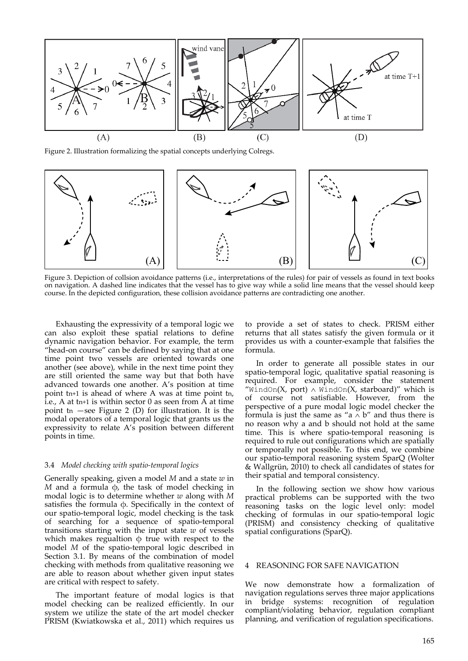

Figure 2. Illustration formalizing the spatial concepts underlying Colregs.



Figure 3. Depiction of collsion avoidance patterns (i.e., interpretations of the rules) for pair of vessels as found in text books on navigation. A dashed line indicates that the vessel has to give way while a solid line means that the vessel should keep course. In the depicted configuration, these collision avoidance patterns are contradicting one another.

Exhausting the expressivity of a temporal logic we can also exploit these spatial relations to define dynamic navigation behavior. For example, the term "head-on course" can be defined by saying that at one time point two vessels are oriented towards one another (see above), while in the next time point they are still oriented the same way but that both have advanced towards one another. A's position at time point tn+1 is ahead of where A was at time point tn, i.e., A at tn+1 is within sector 0 as seen from A at time point tn  $-$ see Figure 2 (D) for illustration. It is the modal operators of a temporal logic that grants us the expressivity to relate A's position between different points in time.

#### 3.4 *Model checking with spatio‐temporal logics*

Generally speaking, given a model *M* and a state *w* in *M* and a formula  $φ$ , the task of model checking in modal logic is to determine whether *w* along with *M* satisfies the formula  $\phi$ . Specifically in the context of our spatio‐temporal logic, model checking is the task of searching for a sequence of spatio‐temporal transitions starting with the input state *w* of vessels which makes regualtion  $\phi$  true with respect to the model *M* of the spatio-temporal logic described in Section 3.1. By means of the combination of model checking with methods from qualitative reasoning we are able to reason about whether given input states are critical with respect to safety.

The important feature of modal logics is that model checking can be realized efficiently. In our system we utilize the state of the art model checker PRISM (Kwiatkowska et al., 2011) which requires us

to provide a set of states to check. PRISM either returns that all states satisfy the given formula or it provides us with a counter‐example that falsifies the formula.

In order to generate all possible states in our spatio-temporal logic, qualitative spatial reasoning is required. For example, consider the statement "WindOn(X, port)  $\land$  WindOn(X, starboard)" which is of course not satisfiable. However, from the perspective of a pure modal logic model checker the formula is just the same as "a  $\land$  b" and thus there is no reason why a and b should not hold at the same time. This is where spatio‐temporal reasoning is required to rule out configurations which are spatially or temporally not possible. To this end, we combine our spatio‐temporal reasoning system SparQ (Wolter & Wallgrün, 2010) to check all candidates of states for their spatial and temporal consistency.

In the following section we show how various practical problems can be supported with the two reasoning tasks on the logic level only: model checking of formulas in our spatio‐temporal logic (PRISM) and consistency checking of qualitative spatial configurations (SparQ).

## 4 REASONING FOR SAFE NAVIGATION

We now demonstrate how a formalization of navigation regulations serves three major applications in bridge systems: recognition of regulation compliant/violating behavior, regulation compliant planning, and verification of regulation specifications.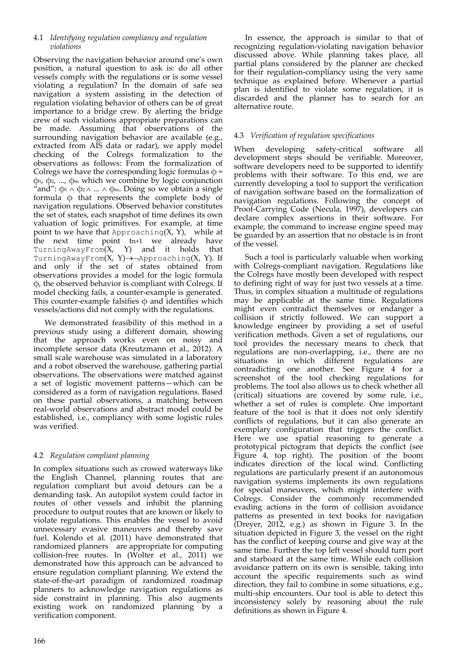## 4.1 *Identifying regulation compliancy and regulation violations*

Observing the navigation behavior around one's own position, a natural question to ask is: do all other vessels comply with the regulations or is some vessel violating a regulation? In the domain of safe sea navigation a system assisting in the detection of regulation violating behavior of others can be of great importance to a bridge crew. By alerting the bridge crew of such violations appropriate preparations can be made. Assuming that observations of the surrounding navigation behavior are available (e.g., extracted from AIS data or radar), we apply model checking of the Colregs formalization to the observations as follows: From the formalization of Colregs we have the corresponding logic formulas  $\varphi$  = ϕ1, ϕ2, ..., ϕ<sup>m</sup> which we combine by logic conjunction "and":  $\phi_1 \wedge \phi_2 \wedge ... \wedge \phi_m$ . Doing so we obtain a single formula  $\phi$  that represents the complete body of navigation regulations. Observed behavior constitutes the set of states, each snapshot of time defines its own valuation of logic primitives. For example, at time point tn we have that Approaching $(X, Y)$ , while at the next time point tn+1 we already have TurningAwayFrom $(X, Y)$  and it holds that TurningAwayFrom(X, Y) $\rightarrow$ -Approaching(X, Y). If and only if the set of states obtained from observations provides a model for the logic formula ϕ, the observed behavior is compliant with Colregs. If model checking fails, a counter‐example is generated. This counter-example falsifies  $\phi$  and identifies which vessels/actions did not comply with the regulations.

We demonstrated feasibility of this method in a previous study using a different domain, showing that the approach works even on noisy and incomplete sensor data (Kreutzmann et al., 2012). A small scale warehouse was simulated in a laboratory and a robot observed the warehouse, gathering partial observations. The observations were matched against a set of logistic movement patterns—which can be considered as a form of navigation regulations. Based on these partial observations, a matching between real‐world observations and abstract model could be established, i.e., compliancy with some logistic rules was verified.

## 4.2 *Regulation compliant planning*

In complex situations such as crowed waterways like the English Channel, planning routes that are regulation compliant but avoid detours can be a demanding task. An autopilot system could factor in routes of other vessels and inhibit the planning procedure to output routes that are known or likely to violate regulations. This enables the vessel to avoid unnecessary evasive maneuvers and thereby save fuel. Kolendo et al. (2011) have demonstrated that randomized planners are appropriate for computing collision‐free routes. In (Wolter et al., 2011) we demonstrated how this approach can be advanced to ensure regulation compliant planning. We extend the state‐of‐the‐art paradigm of randomized roadmap planners to acknowledge navigation regulations as side constraint in planning. This also augments existing work on randomized planning by a verification component.

In essence, the approach is similar to that of recognizing regulation‐violating navigation behavior discussed above. While planning takes place, all partial plans considered by the planner are checked for their regulation‐compliancy using the very same technique as explained before. Whenever a partial plan is identified to violate some regulation, it is discarded and the planner has to search for an alternative route.

# 4.3 *Verification of regulation specifications*

When developing safety-critical software all development steps should be verifiable. Moreover, software developers need to be supported to identify problems with their software. To this end, we are currently developing a tool to support the verification of navigation software based on the formalization of navigation regulations. Following the concept of Proof-Carrying Code (Necula, 1997), developers can declare complex assertions in their software. For example, the command to increase engine speed may be guarded by an assertion that no obstacle is in front of the vessel.

Such a tool is particularly valuable when working with Colregs‐compliant navigation. Regulations like the Colregs have mostly been developed with respect to defining right of way for just two vessels at a time. Thus, in complex situation a multitude of regulations may be applicable at the same time. Regulations might even contradict themselves or endanger a collision if strictly followed. We can support a knowledge engineer by providing a set of useful verification methods. Given a set of regulations, our tool provides the necessary means to check that regulations are non‐overlapping, i.e., there are no situations in which different regulations are contradicting one another. See Figure 4 for a screenshot of the tool checking regulations for problems. The tool also allows us to check whether all (critical) situations are covered by some rule, i.e., whether a set of rules is complete. One important feature of the tool is that it does not only identify conflicts of regulations, but it can also generate an exemplary configuration that triggers the conflict. Here we use spatial reasoning to generate a prototypical pictogram that depicts the conflict (see Figure 4, top right). The position of the boom indicates direction of the local wind. Conflicting regulations are particularly present if an autonomous navigation systems implements its own regulations for special maneuvers, which might interfere with Colregs. Consider the commonly recommended evading actions in the form of collision avoidance patterns as presented in text books for navigation (Dreyer, 2012, e.g.) as shown in Figure 3. In the situation depicted in Figure 3, the vessel on the right has the conflict of keeping course and give way at the same time. Further the top left vessel should turn port and starboard at the same time. While each collision avoidance pattern on its own is sensible, taking into account the specific requirements such as wind direction, they fail to combine in some situations, e.g., multi‐ship encounters. Our tool is able to detect this inconsistency solely by reasoning about the rule definitions as shown in Figure 4.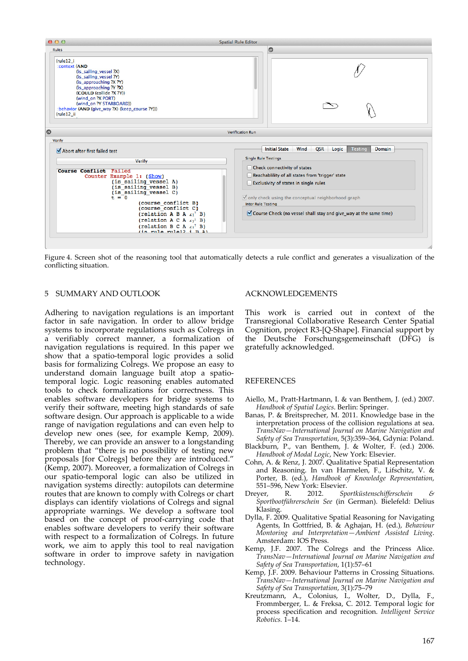

Figure 4. Screen shot of the reasoning tool that automatically detects a rule conflict and generates a visualization of the conflicting situation.

#### 5 SUMMARY AND OUTLOOK

Adhering to navigation regulations is an important factor in safe navigation. In order to allow bridge systems to incorporate regulations such as Colregs in a verifiably correct manner, a formalization of navigation regulations is required. In this paper we show that a spatio‐temporal logic provides a solid basis for formalizing Colregs. We propose an easy to understand domain language built atop a spatio‐ temporal logic. Logic reasoning enables automated tools to check formalizations for correctness. This enables software developers for bridge systems to verify their software, meeting high standards of safe software design. Our approach is applicable to a wide range of navigation regulations and can even help to develop new ones (see, for example Kemp, 2009). Thereby, we can provide an answer to a longstanding problem that "there is no possibility of testing new proposals [for Colregs] before they are introduced." (Kemp, 2007). Moreover, a formalization of Colregs in our spatio‐temporal logic can also be utilized in navigation systems directly: autopilots can determine routes that are known to comply with Colregs or chart displays can identify violations of Colregs and signal appropriate warnings. We develop a software tool based on the concept of proof‐carrying code that enables software developers to verify their software with respect to a formalization of Colregs. In future work, we aim to apply this tool to real navigation software in order to improve safety in navigation technology.

#### ACKNOWLEDGEMENTS

This work is carried out in context of the Transregional Collaborative Research Center Spatial Cognition, project R3‐[Q‐Shape]. Financial support by the Deutsche Forschungsgemeinschaft (DFG) is gratefully acknowledged.

#### **REFERENCES**

- Aiello, M., Pratt‐Hartmann, I. & van Benthem, J. (ed.) 2007. *Handbook of Spatial Logics*. Berlin: Springer.
- Banas, P. & Breitsprecher, M. 2011. Knowledge base in the interpretation process of the collision regulations at sea. *TransNav—International Journal on Marine Navigation and Safety of Sea Transportation*, 5(3):359–364, Gdynia: Poland.
- Blackburn, P., van Benthem, J. & Wolter, F. (ed.) 2006. *Handbook of Modal Logic*, New York: Elsevier.
- Cohn, A. & Renz, J. 2007. Qualitative Spatial Representation and Reasoning. In van Harmelen, F., Lifschitz, V. & Porter, B. (ed.), *Handbook of Knowledge Representation*, 551–596, New York: Elsevier.<br>Drever, R. 2012. Sp
- Dreyer, R. 2012. *Sportküstenschifferschein & Sportbootführerschein See* (in German). Bielefeld: Delius Klasing.
- Dylla, F. 2009. Qualitative Spatial Reasoning for Navigating Agents, In Gottfried, B. & Aghajan, H. (ed.), *Behaviour Montoring and Interpretation—Ambient Assisted Living*. Amsterdam: IOS Press.
- Kemp, J.F. 2007. The Colregs and the Princess Alice. *TransNav—International Journal on Marine Navigation and Safety of Sea Transportation*, 1(1):57–61
- Kemp, J.F. 2009. Behaviour Patterns in Crossing Situations. *TransNav—International Journal on Marine Navigation and Safety of Sea Transportation*, 3(1):75–79
- Kreutzmann, A., Colonius, I., Wolter, D., Dylla, F., Frommberger, L. & Freksa, C. 2012. Temporal logic for process specification and recognition. *Intelligent Service Robotics.* 1–14.